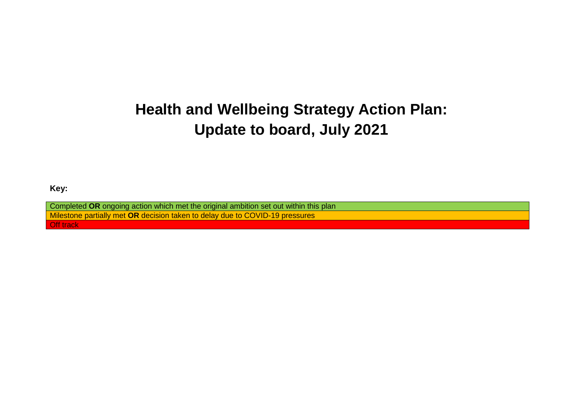# **Health and Wellbeing Strategy Action Plan: Update to board, July 2021**

**Key:**

Completed **OR** ongoing action which met the original ambition set out within this plan Milestone partially met **OR** decision taken to delay due to COVID-19 pressures **Off track**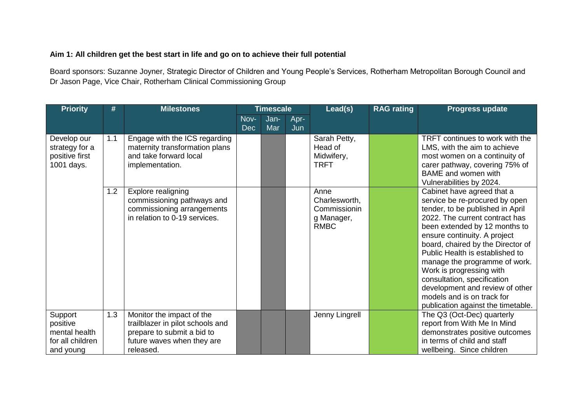#### **Aim 1: All children get the best start in life and go on to achieve their full potential**

Board sponsors: Suzanne Joyner, Strategic Director of Children and Young People's Services, Rotherham Metropolitan Borough Council and Dr Jason Page, Vice Chair, Rotherham Clinical Commissioning Group

| <b>Priority</b>                                                       | #   | <b>Milestones</b>                                                                                                                      |                    | <b>Timescale</b> |             | Lead(s)                                                            | <b>RAG rating</b> | <b>Progress update</b>                                                                                                                                                                                                                                                                                                                                                                                                                                                         |
|-----------------------------------------------------------------------|-----|----------------------------------------------------------------------------------------------------------------------------------------|--------------------|------------------|-------------|--------------------------------------------------------------------|-------------------|--------------------------------------------------------------------------------------------------------------------------------------------------------------------------------------------------------------------------------------------------------------------------------------------------------------------------------------------------------------------------------------------------------------------------------------------------------------------------------|
|                                                                       |     |                                                                                                                                        | Nov-<br><b>Dec</b> | Jan-<br>Mar      | Apr-<br>Jun |                                                                    |                   |                                                                                                                                                                                                                                                                                                                                                                                                                                                                                |
| Develop our<br>strategy for a<br>positive first<br>1001 days.         | 1.1 | Engage with the ICS regarding<br>maternity transformation plans<br>and take forward local<br>implementation.                           |                    |                  |             | Sarah Petty,<br>Head of<br>Midwifery,<br><b>TRFT</b>               |                   | TRFT continues to work with the<br>LMS, with the aim to achieve<br>most women on a continuity of<br>carer pathway, covering 75% of<br><b>BAME</b> and women with<br>Vulnerabilities by 2024.                                                                                                                                                                                                                                                                                   |
|                                                                       | 1.2 | Explore realigning<br>commissioning pathways and<br>commissioning arrangements<br>in relation to 0-19 services.                        |                    |                  |             | Anne<br>Charlesworth,<br>Commissionin<br>g Manager,<br><b>RMBC</b> |                   | Cabinet have agreed that a<br>service be re-procured by open<br>tender, to be published in April<br>2022. The current contract has<br>been extended by 12 months to<br>ensure continuity. A project<br>board, chaired by the Director of<br>Public Health is established to<br>manage the programme of work.<br>Work is progressing with<br>consultation, specification<br>development and review of other<br>models and is on track for<br>publication against the timetable. |
| Support<br>positive<br>mental health<br>for all children<br>and young | 1.3 | Monitor the impact of the<br>trailblazer in pilot schools and<br>prepare to submit a bid to<br>future waves when they are<br>released. |                    |                  |             | Jenny Lingrell                                                     |                   | The Q3 (Oct-Dec) quarterly<br>report from With Me In Mind<br>demonstrates positive outcomes<br>in terms of child and staff<br>wellbeing. Since children                                                                                                                                                                                                                                                                                                                        |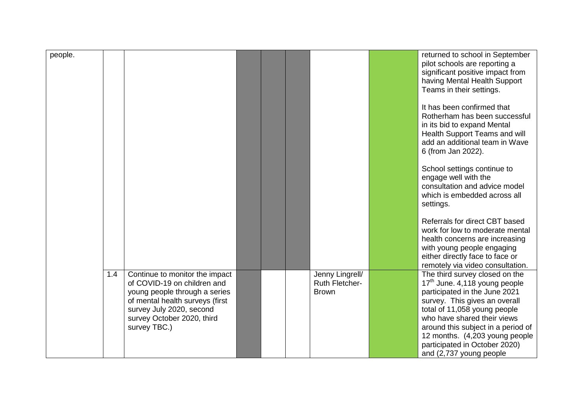| people. |     |                                                                                                                                                                                                             |  |                                                          | returned to school in September<br>pilot schools are reporting a<br>significant positive impact from<br>having Mental Health Support<br>Teams in their settings.                                                                                                                                                                     |
|---------|-----|-------------------------------------------------------------------------------------------------------------------------------------------------------------------------------------------------------------|--|----------------------------------------------------------|--------------------------------------------------------------------------------------------------------------------------------------------------------------------------------------------------------------------------------------------------------------------------------------------------------------------------------------|
|         |     |                                                                                                                                                                                                             |  |                                                          | It has been confirmed that<br>Rotherham has been successful<br>in its bid to expand Mental<br>Health Support Teams and will<br>add an additional team in Wave<br>6 (from Jan 2022).                                                                                                                                                  |
|         |     |                                                                                                                                                                                                             |  |                                                          | School settings continue to<br>engage well with the<br>consultation and advice model<br>which is embedded across all<br>settings.                                                                                                                                                                                                    |
|         |     |                                                                                                                                                                                                             |  |                                                          | Referrals for direct CBT based<br>work for low to moderate mental<br>health concerns are increasing<br>with young people engaging<br>either directly face to face or<br>remotely via video consultation.                                                                                                                             |
|         | 1.4 | Continue to monitor the impact<br>of COVID-19 on children and<br>young people through a series<br>of mental health surveys (first<br>survey July 2020, second<br>survey October 2020, third<br>survey TBC.) |  | Jenny Lingrell/<br><b>Ruth Fletcher-</b><br><b>Brown</b> | The third survey closed on the<br>17th June. 4,118 young people<br>participated in the June 2021<br>survey. This gives an overall<br>total of 11,058 young people<br>who have shared their views<br>around this subject in a period of<br>12 months. (4,203 young people<br>participated in October 2020)<br>and (2,737 young people |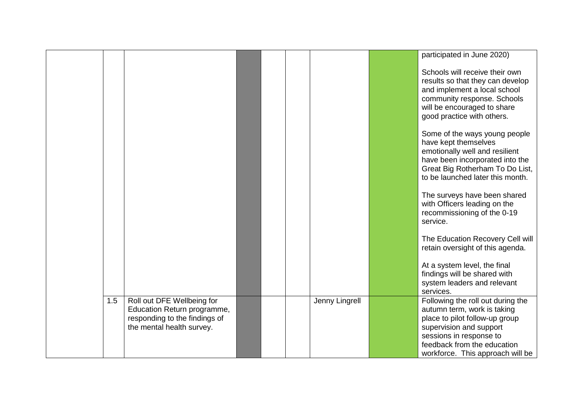|     |                                                                                                                         |  |                | participated in June 2020)                                                                                                                                                                                                  |
|-----|-------------------------------------------------------------------------------------------------------------------------|--|----------------|-----------------------------------------------------------------------------------------------------------------------------------------------------------------------------------------------------------------------------|
|     |                                                                                                                         |  |                | Schools will receive their own<br>results so that they can develop<br>and implement a local school<br>community response. Schools<br>will be encouraged to share<br>good practice with others.                              |
|     |                                                                                                                         |  |                | Some of the ways young people<br>have kept themselves<br>emotionally well and resilient<br>have been incorporated into the<br>Great Big Rotherham To Do List,<br>to be launched later this month.                           |
|     |                                                                                                                         |  |                | The surveys have been shared<br>with Officers leading on the<br>recommissioning of the 0-19<br>service.                                                                                                                     |
|     |                                                                                                                         |  |                | The Education Recovery Cell will<br>retain oversight of this agenda.                                                                                                                                                        |
|     |                                                                                                                         |  |                | At a system level, the final<br>findings will be shared with<br>system leaders and relevant<br>services.                                                                                                                    |
| 1.5 | Roll out DFE Wellbeing for<br>Education Return programme,<br>responding to the findings of<br>the mental health survey. |  | Jenny Lingrell | Following the roll out during the<br>autumn term, work is taking<br>place to pilot follow-up group<br>supervision and support<br>sessions in response to<br>feedback from the education<br>workforce. This approach will be |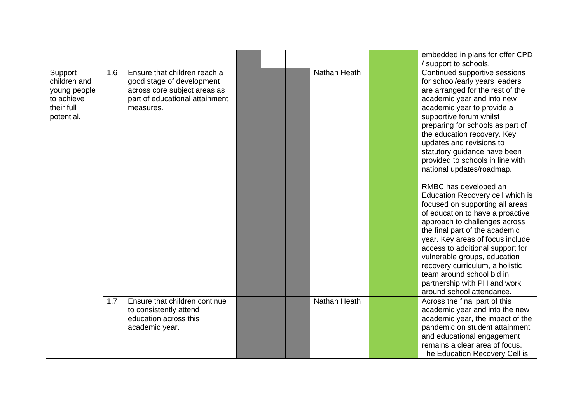|                                                                                   |     |                                                                                                                                          |  |                     | embedded in plans for offer CPD                                                                                                                                                                                                                                                                                                                                                                                                          |
|-----------------------------------------------------------------------------------|-----|------------------------------------------------------------------------------------------------------------------------------------------|--|---------------------|------------------------------------------------------------------------------------------------------------------------------------------------------------------------------------------------------------------------------------------------------------------------------------------------------------------------------------------------------------------------------------------------------------------------------------------|
| Support<br>children and<br>young people<br>to achieve<br>their full<br>potential. | 1.6 | Ensure that children reach a<br>good stage of development<br>across core subject areas as<br>part of educational attainment<br>measures. |  | <b>Nathan Heath</b> | / support to schools.<br>Continued supportive sessions<br>for school/early years leaders<br>are arranged for the rest of the<br>academic year and into new<br>academic year to provide a<br>supportive forum whilst<br>preparing for schools as part of<br>the education recovery. Key<br>updates and revisions to<br>statutory guidance have been<br>provided to schools in line with<br>national updates/roadmap.                      |
|                                                                                   |     |                                                                                                                                          |  |                     | RMBC has developed an<br>Education Recovery cell which is<br>focused on supporting all areas<br>of education to have a proactive<br>approach to challenges across<br>the final part of the academic<br>year. Key areas of focus include<br>access to additional support for<br>vulnerable groups, education<br>recovery curriculum, a holistic<br>team around school bid in<br>partnership with PH and work<br>around school attendance. |
|                                                                                   | 1.7 | Ensure that children continue<br>to consistently attend<br>education across this<br>academic year.                                       |  | <b>Nathan Heath</b> | Across the final part of this<br>academic year and into the new<br>academic year, the impact of the<br>pandemic on student attainment<br>and educational engagement<br>remains a clear area of focus.<br>The Education Recovery Cell is                                                                                                                                                                                                  |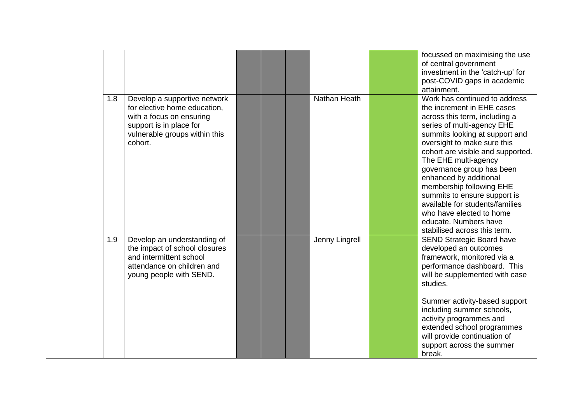|     |                                                                                                                                                                 |  |                     | focussed on maximising the use<br>of central government<br>investment in the 'catch-up' for<br>post-COVID gaps in academic<br>attainment.                                                                                                                                                                                                                                                                                                                                                           |
|-----|-----------------------------------------------------------------------------------------------------------------------------------------------------------------|--|---------------------|-----------------------------------------------------------------------------------------------------------------------------------------------------------------------------------------------------------------------------------------------------------------------------------------------------------------------------------------------------------------------------------------------------------------------------------------------------------------------------------------------------|
| 1.8 | Develop a supportive network<br>for elective home education,<br>with a focus on ensuring<br>support is in place for<br>vulnerable groups within this<br>cohort. |  | <b>Nathan Heath</b> | Work has continued to address<br>the increment in EHE cases<br>across this term, including a<br>series of multi-agency EHE<br>summits looking at support and<br>oversight to make sure this<br>cohort are visible and supported.<br>The EHE multi-agency<br>governance group has been<br>enhanced by additional<br>membership following EHE<br>summits to ensure support is<br>available for students/families<br>who have elected to home<br>educate. Numbers have<br>stabilised across this term. |
| 1.9 | Develop an understanding of<br>the impact of school closures<br>and intermittent school<br>attendance on children and<br>young people with SEND.                |  | Jenny Lingrell      | <b>SEND Strategic Board have</b><br>developed an outcomes<br>framework, monitored via a<br>performance dashboard. This<br>will be supplemented with case<br>studies.<br>Summer activity-based support<br>including summer schools,<br>activity programmes and<br>extended school programmes<br>will provide continuation of<br>support across the summer<br>break.                                                                                                                                  |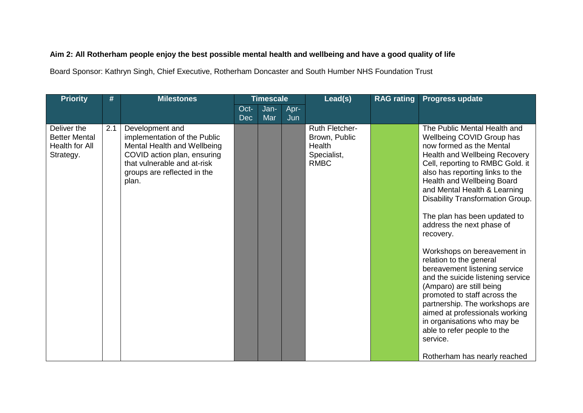### **Aim 2: All Rotherham people enjoy the best possible mental health and wellbeing and have a good quality of life**

Board Sponsor: Kathryn Singh, Chief Executive, Rotherham Doncaster and South Humber NHS Foundation Trust

| <b>Priority</b>                                                    | #   | <b>Milestones</b>                                                                                                                                                                    |                    | <b>Timescale</b> |             | Lead(s)                                                                        | <b>RAG rating</b> | <b>Progress update</b>                                                                                                                                                                                                                                                                                                                                                                                                                                                                                                                                                                                                                                                                                              |
|--------------------------------------------------------------------|-----|--------------------------------------------------------------------------------------------------------------------------------------------------------------------------------------|--------------------|------------------|-------------|--------------------------------------------------------------------------------|-------------------|---------------------------------------------------------------------------------------------------------------------------------------------------------------------------------------------------------------------------------------------------------------------------------------------------------------------------------------------------------------------------------------------------------------------------------------------------------------------------------------------------------------------------------------------------------------------------------------------------------------------------------------------------------------------------------------------------------------------|
|                                                                    |     |                                                                                                                                                                                      | Oct-<br><b>Dec</b> | Jan-<br>Mar      | Apr-<br>Jun |                                                                                |                   |                                                                                                                                                                                                                                                                                                                                                                                                                                                                                                                                                                                                                                                                                                                     |
| Deliver the<br><b>Better Mental</b><br>Health for All<br>Strategy. | 2.1 | Development and<br>implementation of the Public<br>Mental Health and Wellbeing<br>COVID action plan, ensuring<br>that vulnerable and at-risk<br>groups are reflected in the<br>plan. |                    |                  |             | <b>Ruth Fletcher-</b><br>Brown, Public<br>Health<br>Specialist,<br><b>RMBC</b> |                   | The Public Mental Health and<br>Wellbeing COVID Group has<br>now formed as the Mental<br>Health and Wellbeing Recovery<br>Cell, reporting to RMBC Gold. it<br>also has reporting links to the<br>Health and Wellbeing Board<br>and Mental Health & Learning<br>Disability Transformation Group.<br>The plan has been updated to<br>address the next phase of<br>recovery.<br>Workshops on bereavement in<br>relation to the general<br>bereavement listening service<br>and the suicide listening service<br>(Amparo) are still being<br>promoted to staff across the<br>partnership. The workshops are<br>aimed at professionals working<br>in organisations who may be<br>able to refer people to the<br>service. |
|                                                                    |     |                                                                                                                                                                                      |                    |                  |             |                                                                                |                   | Rotherham has nearly reached                                                                                                                                                                                                                                                                                                                                                                                                                                                                                                                                                                                                                                                                                        |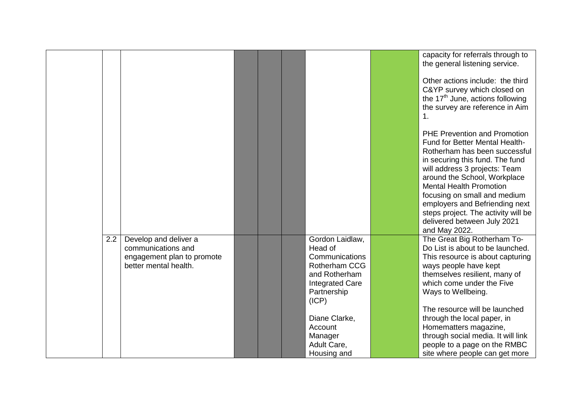|     |                                                                                                    |                                                                                                                                  | capacity for referrals through to<br>the general listening service.<br>Other actions include: the third<br>C&YP survey which closed on<br>the 17 <sup>th</sup> June, actions following<br>the survey are reference in Aim<br>1.<br><b>PHE Prevention and Promotion</b><br>Fund for Better Mental Health-<br>Rotherham has been successful<br>in securing this fund. The fund |
|-----|----------------------------------------------------------------------------------------------------|----------------------------------------------------------------------------------------------------------------------------------|------------------------------------------------------------------------------------------------------------------------------------------------------------------------------------------------------------------------------------------------------------------------------------------------------------------------------------------------------------------------------|
|     |                                                                                                    |                                                                                                                                  | will address 3 projects: Team<br>around the School, Workplace<br><b>Mental Health Promotion</b><br>focusing on small and medium<br>employers and Befriending next<br>steps project. The activity will be<br>delivered between July 2021<br>and May 2022.                                                                                                                     |
| 2.2 | Develop and deliver a<br>communications and<br>engagement plan to promote<br>better mental health. | Gordon Laidlaw,<br>Head of<br>Communications<br>Rotherham CCG<br>and Rotherham<br><b>Integrated Care</b><br>Partnership<br>(ICP) | The Great Big Rotherham To-<br>Do List is about to be launched.<br>This resource is about capturing<br>ways people have kept<br>themselves resilient, many of<br>which come under the Five<br>Ways to Wellbeing.<br>The resource will be launched                                                                                                                            |
|     |                                                                                                    | Diane Clarke,<br>Account<br>Manager<br>Adult Care,<br>Housing and                                                                | through the local paper, in<br>Homematters magazine,<br>through social media. It will link<br>people to a page on the RMBC<br>site where people can get more                                                                                                                                                                                                                 |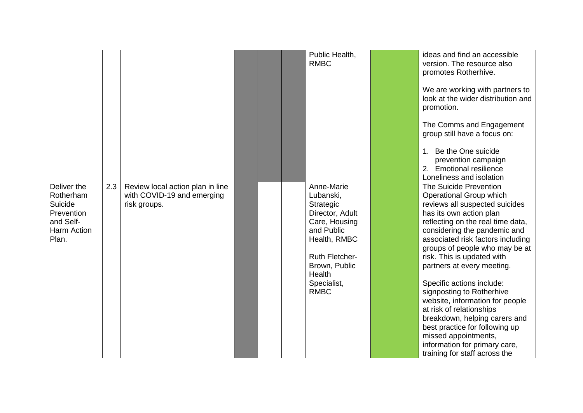|                                                                                        |     |                                                                                |  | Public Health,<br><b>RMBC</b>                                                                                                                                                            | ideas and find an accessible<br>version. The resource also<br>promotes Rotherhive.<br>We are working with partners to<br>look at the wider distribution and<br>promotion.                                                                                                                                                                                                                                                                                                                                                                                                                                    |
|----------------------------------------------------------------------------------------|-----|--------------------------------------------------------------------------------|--|------------------------------------------------------------------------------------------------------------------------------------------------------------------------------------------|--------------------------------------------------------------------------------------------------------------------------------------------------------------------------------------------------------------------------------------------------------------------------------------------------------------------------------------------------------------------------------------------------------------------------------------------------------------------------------------------------------------------------------------------------------------------------------------------------------------|
|                                                                                        |     |                                                                                |  |                                                                                                                                                                                          | The Comms and Engagement<br>group still have a focus on:<br>1. Be the One suicide<br>prevention campaign<br>2. Emotional resilience<br>Loneliness and isolation                                                                                                                                                                                                                                                                                                                                                                                                                                              |
| Deliver the<br>Rotherham<br>Suicide<br>Prevention<br>and Self-<br>Harm Action<br>Plan. | 2.3 | Review local action plan in line<br>with COVID-19 and emerging<br>risk groups. |  | Anne-Marie<br>Lubanski,<br>Strategic<br>Director, Adult<br>Care, Housing<br>and Public<br>Health, RMBC<br><b>Ruth Fletcher-</b><br>Brown, Public<br>Health<br>Specialist,<br><b>RMBC</b> | The Suicide Prevention<br>Operational Group which<br>reviews all suspected suicides<br>has its own action plan<br>reflecting on the real time data,<br>considering the pandemic and<br>associated risk factors including<br>groups of people who may be at<br>risk. This is updated with<br>partners at every meeting.<br>Specific actions include:<br>signposting to Rotherhive<br>website, information for people<br>at risk of relationships<br>breakdown, helping carers and<br>best practice for following up<br>missed appointments,<br>information for primary care,<br>training for staff across the |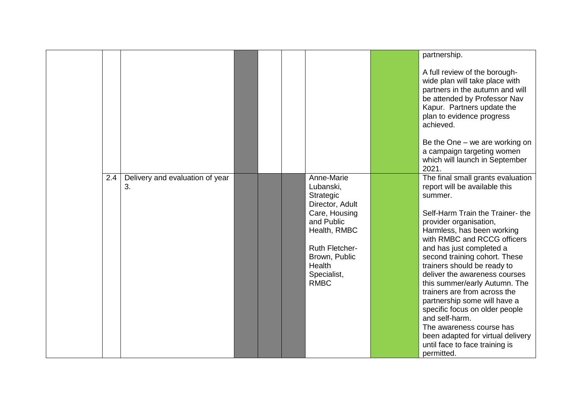|     |                                       |                                                                                                                                                                                          | partnership.                                                                                                                                                                                                                                                                                                                                                                                                                                                                                                                                                                                               |
|-----|---------------------------------------|------------------------------------------------------------------------------------------------------------------------------------------------------------------------------------------|------------------------------------------------------------------------------------------------------------------------------------------------------------------------------------------------------------------------------------------------------------------------------------------------------------------------------------------------------------------------------------------------------------------------------------------------------------------------------------------------------------------------------------------------------------------------------------------------------------|
|     |                                       |                                                                                                                                                                                          |                                                                                                                                                                                                                                                                                                                                                                                                                                                                                                                                                                                                            |
|     |                                       |                                                                                                                                                                                          | A full review of the borough-<br>wide plan will take place with<br>partners in the autumn and will<br>be attended by Professor Nav<br>Kapur. Partners update the<br>plan to evidence progress<br>achieved.                                                                                                                                                                                                                                                                                                                                                                                                 |
|     |                                       |                                                                                                                                                                                          | Be the One $-$ we are working on<br>a campaign targeting women<br>which will launch in September<br>2021.                                                                                                                                                                                                                                                                                                                                                                                                                                                                                                  |
| 2.4 | Delivery and evaluation of year<br>3. | Anne-Marie<br>Lubanski,<br>Strategic<br>Director, Adult<br>Care, Housing<br>and Public<br>Health, RMBC<br><b>Ruth Fletcher-</b><br>Brown, Public<br>Health<br>Specialist,<br><b>RMBC</b> | The final small grants evaluation<br>report will be available this<br>summer.<br>Self-Harm Train the Trainer-the<br>provider organisation,<br>Harmless, has been working<br>with RMBC and RCCG officers<br>and has just completed a<br>second training cohort. These<br>trainers should be ready to<br>deliver the awareness courses<br>this summer/early Autumn. The<br>trainers are from across the<br>partnership some will have a<br>specific focus on older people<br>and self-harm.<br>The awareness course has<br>been adapted for virtual delivery<br>until face to face training is<br>permitted. |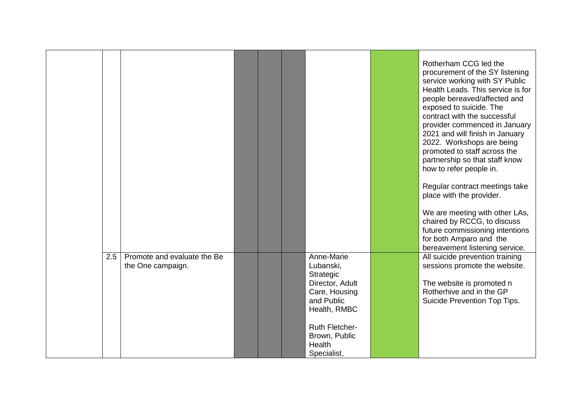|     |                                                  |  |                                                                                                        | Rotherham CCG led the<br>procurement of the SY listening<br>service working with SY Public<br>Health Leads. This service is for<br>people bereaved/affected and<br>exposed to suicide. The<br>contract with the successful<br>provider commenced in January<br>2021 and will finish in January<br>2022. Workshops are being<br>promoted to staff across the<br>partnership so that staff know<br>how to refer people in.<br>Regular contract meetings take<br>place with the provider.<br>We are meeting with other LAs,<br>chaired by RCCG, to discuss<br>future commissioning intentions<br>for both Amparo and the<br>bereavement listening service. |
|-----|--------------------------------------------------|--|--------------------------------------------------------------------------------------------------------|---------------------------------------------------------------------------------------------------------------------------------------------------------------------------------------------------------------------------------------------------------------------------------------------------------------------------------------------------------------------------------------------------------------------------------------------------------------------------------------------------------------------------------------------------------------------------------------------------------------------------------------------------------|
| 2.5 | Promote and evaluate the Be<br>the One campaign. |  | Anne-Marie<br>Lubanski,<br>Strategic<br>Director, Adult<br>Care, Housing<br>and Public<br>Health, RMBC | All suicide prevention training<br>sessions promote the website.<br>The website is promoted n<br>Rotherhive and in the GP<br>Suicide Prevention Top Tips.                                                                                                                                                                                                                                                                                                                                                                                                                                                                                               |
|     |                                                  |  | <b>Ruth Fletcher-</b><br>Brown, Public<br>Health<br>Specialist,                                        |                                                                                                                                                                                                                                                                                                                                                                                                                                                                                                                                                                                                                                                         |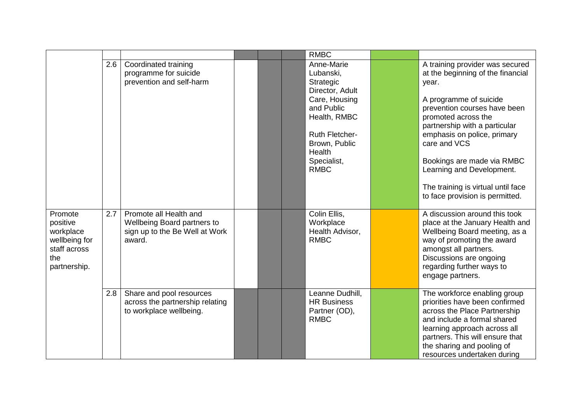|                                                                                          |     |                                                                                                          |  | <b>RMBC</b>                                                                                                                                                                              |                                                                                                                                                                                                                                                                                                                                                                                    |
|------------------------------------------------------------------------------------------|-----|----------------------------------------------------------------------------------------------------------|--|------------------------------------------------------------------------------------------------------------------------------------------------------------------------------------------|------------------------------------------------------------------------------------------------------------------------------------------------------------------------------------------------------------------------------------------------------------------------------------------------------------------------------------------------------------------------------------|
|                                                                                          | 2.6 | Coordinated training<br>programme for suicide<br>prevention and self-harm                                |  | Anne-Marie<br>Lubanski,<br>Strategic<br>Director, Adult<br>Care, Housing<br>and Public<br>Health, RMBC<br><b>Ruth Fletcher-</b><br>Brown, Public<br>Health<br>Specialist,<br><b>RMBC</b> | A training provider was secured<br>at the beginning of the financial<br>year.<br>A programme of suicide<br>prevention courses have been<br>promoted across the<br>partnership with a particular<br>emphasis on police, primary<br>care and VCS<br>Bookings are made via RMBC<br>Learning and Development.<br>The training is virtual until face<br>to face provision is permitted. |
| Promote<br>positive<br>workplace<br>wellbeing for<br>staff across<br>the<br>partnership. | 2.7 | Promote all Health and<br><b>Wellbeing Board partners to</b><br>sign up to the Be Well at Work<br>award. |  | Colin Ellis,<br>Workplace<br>Health Advisor,<br><b>RMBC</b>                                                                                                                              | A discussion around this took<br>place at the January Health and<br>Wellbeing Board meeting, as a<br>way of promoting the award<br>amongst all partners.<br>Discussions are ongoing<br>regarding further ways to<br>engage partners.                                                                                                                                               |
|                                                                                          | 2.8 | Share and pool resources<br>across the partnership relating<br>to workplace wellbeing.                   |  | Leanne Dudhill,<br><b>HR Business</b><br>Partner (OD),<br><b>RMBC</b>                                                                                                                    | The workforce enabling group<br>priorities have been confirmed<br>across the Place Partnership<br>and include a formal shared<br>learning approach across all<br>partners. This will ensure that<br>the sharing and pooling of<br>resources undertaken during                                                                                                                      |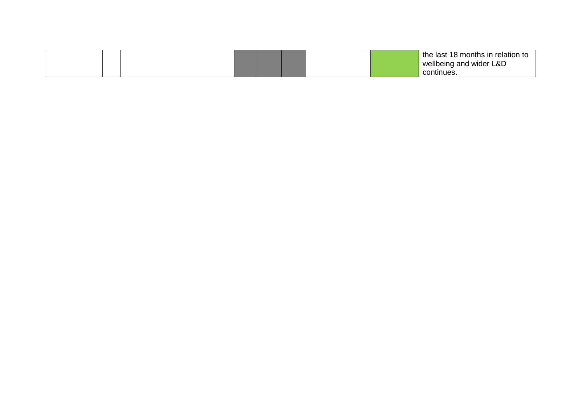|  |  |  |  | the last 18 months in relation to |
|--|--|--|--|-----------------------------------|
|  |  |  |  | wellbeing and wider L&D           |
|  |  |  |  | continues.                        |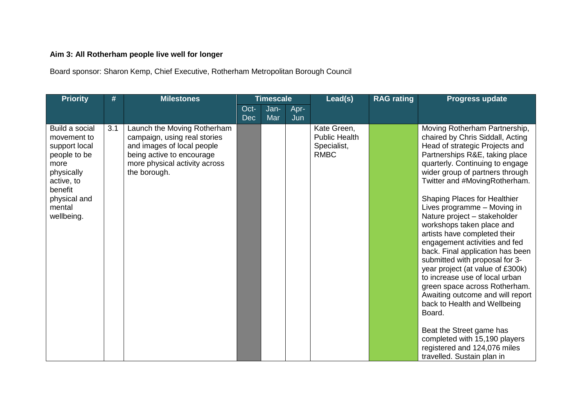## **Aim 3: All Rotherham people live well for longer**

Board sponsor: Sharon Kemp, Chief Executive, Rotherham Metropolitan Borough Council

| <b>Priority</b>                                                                                                                                       | #   | <b>Milestones</b>                                                                                                                                                       |                    | <b>Timescale</b> |             | Lead(s)                                                           | <b>RAG rating</b> | <b>Progress update</b>                                                                                                                                                                                                                                                                                                                                                                                                                                                                                                                                                                                                                                                                                                                                                                                                                 |
|-------------------------------------------------------------------------------------------------------------------------------------------------------|-----|-------------------------------------------------------------------------------------------------------------------------------------------------------------------------|--------------------|------------------|-------------|-------------------------------------------------------------------|-------------------|----------------------------------------------------------------------------------------------------------------------------------------------------------------------------------------------------------------------------------------------------------------------------------------------------------------------------------------------------------------------------------------------------------------------------------------------------------------------------------------------------------------------------------------------------------------------------------------------------------------------------------------------------------------------------------------------------------------------------------------------------------------------------------------------------------------------------------------|
|                                                                                                                                                       |     |                                                                                                                                                                         | Oct-<br><b>Dec</b> | Jan-<br>Mar      | Apr-<br>Jun |                                                                   |                   |                                                                                                                                                                                                                                                                                                                                                                                                                                                                                                                                                                                                                                                                                                                                                                                                                                        |
| Build a social<br>movement to<br>support local<br>people to be<br>more<br>physically<br>active, to<br>benefit<br>physical and<br>mental<br>wellbeing. | 3.1 | Launch the Moving Rotherham<br>campaign, using real stories<br>and images of local people<br>being active to encourage<br>more physical activity across<br>the borough. |                    |                  |             | Kate Green,<br><b>Public Health</b><br>Specialist,<br><b>RMBC</b> |                   | Moving Rotherham Partnership,<br>chaired by Chris Siddall, Acting<br>Head of strategic Projects and<br>Partnerships R&E, taking place<br>quarterly. Continuing to engage<br>wider group of partners through<br>Twitter and #MovingRotherham.<br><b>Shaping Places for Healthier</b><br>Lives programme - Moving in<br>Nature project - stakeholder<br>workshops taken place and<br>artists have completed their<br>engagement activities and fed<br>back. Final application has been<br>submitted with proposal for 3-<br>year project (at value of £300k)<br>to increase use of local urban<br>green space across Rotherham.<br>Awaiting outcome and will report<br>back to Health and Wellbeing<br>Board.<br>Beat the Street game has<br>completed with 15,190 players<br>registered and 124,076 miles<br>travelled. Sustain plan in |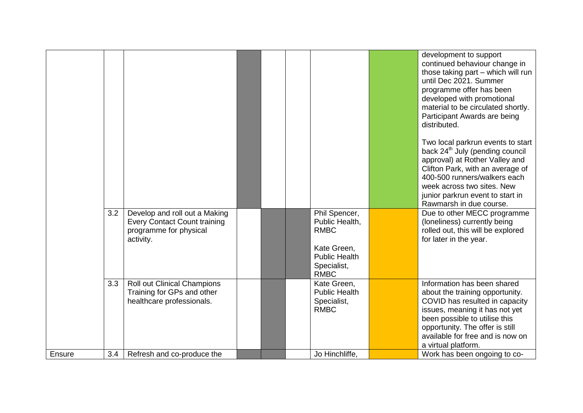|        |     |                                                                                                             |  |                                                                                                                     | development to support<br>continued behaviour change in<br>those taking part - which will run<br>until Dec 2021. Summer<br>programme offer has been<br>developed with promotional<br>material to be circulated shortly.<br>Participant Awards are being<br>distributed.<br>Two local parkrun events to start |
|--------|-----|-------------------------------------------------------------------------------------------------------------|--|---------------------------------------------------------------------------------------------------------------------|--------------------------------------------------------------------------------------------------------------------------------------------------------------------------------------------------------------------------------------------------------------------------------------------------------------|
|        |     |                                                                                                             |  |                                                                                                                     | back 24 <sup>th</sup> July (pending council<br>approval) at Rother Valley and<br>Clifton Park, with an average of<br>400-500 runners/walkers each<br>week across two sites. New<br>junior parkrun event to start in<br>Rawmarsh in due course.                                                               |
|        | 3.2 | Develop and roll out a Making<br><b>Every Contact Count training</b><br>programme for physical<br>activity. |  | Phil Spencer,<br>Public Health,<br><b>RMBC</b><br>Kate Green,<br><b>Public Health</b><br>Specialist,<br><b>RMBC</b> | Due to other MECC programme<br>(loneliness) currently being<br>rolled out, this will be explored<br>for later in the year.                                                                                                                                                                                   |
|        | 3.3 | <b>Roll out Clinical Champions</b><br>Training for GPs and other<br>healthcare professionals.               |  | Kate Green,<br><b>Public Health</b><br>Specialist,<br><b>RMBC</b>                                                   | Information has been shared<br>about the training opportunity.<br>COVID has resulted in capacity<br>issues, meaning it has not yet<br>been possible to utilise this<br>opportunity. The offer is still<br>available for free and is now on<br>a virtual platform.                                            |
| Ensure | 3.4 | Refresh and co-produce the                                                                                  |  | Jo Hinchliffe,                                                                                                      | Work has been ongoing to co-                                                                                                                                                                                                                                                                                 |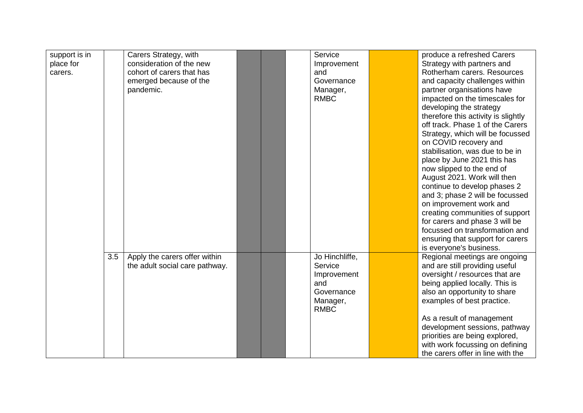| support is in |     | Carers Strategy, with          |  | Service        | produce a refreshed Carers          |
|---------------|-----|--------------------------------|--|----------------|-------------------------------------|
| place for     |     | consideration of the new       |  | Improvement    | Strategy with partners and          |
| carers.       |     | cohort of carers that has      |  | and            | Rotherham carers. Resources         |
|               |     | emerged because of the         |  | Governance     | and capacity challenges within      |
|               |     | pandemic.                      |  | Manager,       | partner organisations have          |
|               |     |                                |  | <b>RMBC</b>    | impacted on the timescales for      |
|               |     |                                |  |                | developing the strategy             |
|               |     |                                |  |                | therefore this activity is slightly |
|               |     |                                |  |                | off track. Phase 1 of the Carers    |
|               |     |                                |  |                | Strategy, which will be focussed    |
|               |     |                                |  |                | on COVID recovery and               |
|               |     |                                |  |                | stabilisation, was due to be in     |
|               |     |                                |  |                | place by June 2021 this has         |
|               |     |                                |  |                | now slipped to the end of           |
|               |     |                                |  |                | August 2021. Work will then         |
|               |     |                                |  |                | continue to develop phases 2        |
|               |     |                                |  |                | and 3; phase 2 will be focussed     |
|               |     |                                |  |                | on improvement work and             |
|               |     |                                |  |                | creating communities of support     |
|               |     |                                |  |                | for carers and phase 3 will be      |
|               |     |                                |  |                | focussed on transformation and      |
|               |     |                                |  |                | ensuring that support for carers    |
|               |     |                                |  |                | is everyone's business.             |
|               | 3.5 | Apply the carers offer within  |  | Jo Hinchliffe, | Regional meetings are ongoing       |
|               |     | the adult social care pathway. |  | Service        | and are still providing useful      |
|               |     |                                |  | Improvement    | oversight / resources that are      |
|               |     |                                |  | and            | being applied locally. This is      |
|               |     |                                |  | Governance     | also an opportunity to share        |
|               |     |                                |  | Manager,       | examples of best practice.          |
|               |     |                                |  | <b>RMBC</b>    |                                     |
|               |     |                                |  |                | As a result of management           |
|               |     |                                |  |                | development sessions, pathway       |
|               |     |                                |  |                | priorities are being explored,      |
|               |     |                                |  |                | with work focussing on defining     |
|               |     |                                |  |                | the carers offer in line with the   |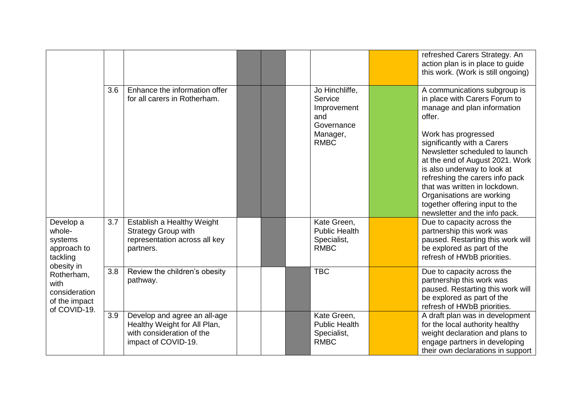|                                                                                    |     |                                                                                                                  |  |                                                                                          | refreshed Carers Strategy. An<br>action plan is in place to guide<br>this work. (Work is still ongoing)                                                                                                                                                                                                                                                                                                                              |
|------------------------------------------------------------------------------------|-----|------------------------------------------------------------------------------------------------------------------|--|------------------------------------------------------------------------------------------|--------------------------------------------------------------------------------------------------------------------------------------------------------------------------------------------------------------------------------------------------------------------------------------------------------------------------------------------------------------------------------------------------------------------------------------|
|                                                                                    | 3.6 | Enhance the information offer<br>for all carers in Rotherham.                                                    |  | Jo Hinchliffe,<br>Service<br>Improvement<br>and<br>Governance<br>Manager,<br><b>RMBC</b> | A communications subgroup is<br>in place with Carers Forum to<br>manage and plan information<br>offer.<br>Work has progressed<br>significantly with a Carers<br>Newsletter scheduled to launch<br>at the end of August 2021. Work<br>is also underway to look at<br>refreshing the carers info pack<br>that was written in lockdown.<br>Organisations are working<br>together offering input to the<br>newsletter and the info pack. |
| Develop a<br>whole-<br>systems<br>approach to<br>tackling                          | 3.7 | Establish a Healthy Weight<br><b>Strategy Group with</b><br>representation across all key<br>partners.           |  | Kate Green,<br><b>Public Health</b><br>Specialist,<br><b>RMBC</b>                        | Due to capacity across the<br>partnership this work was<br>paused. Restarting this work will<br>be explored as part of the<br>refresh of HWbB priorities.                                                                                                                                                                                                                                                                            |
| obesity in<br>Rotherham,<br>with<br>consideration<br>of the impact<br>of COVID-19. | 3.8 | Review the children's obesity<br>pathway.                                                                        |  | <b>TBC</b>                                                                               | Due to capacity across the<br>partnership this work was<br>paused. Restarting this work will<br>be explored as part of the<br>refresh of HWbB priorities.                                                                                                                                                                                                                                                                            |
|                                                                                    | 3.9 | Develop and agree an all-age<br>Healthy Weight for All Plan,<br>with consideration of the<br>impact of COVID-19. |  | Kate Green,<br><b>Public Health</b><br>Specialist,<br><b>RMBC</b>                        | A draft plan was in development<br>for the local authority healthy<br>weight declaration and plans to<br>engage partners in developing<br>their own declarations in support                                                                                                                                                                                                                                                          |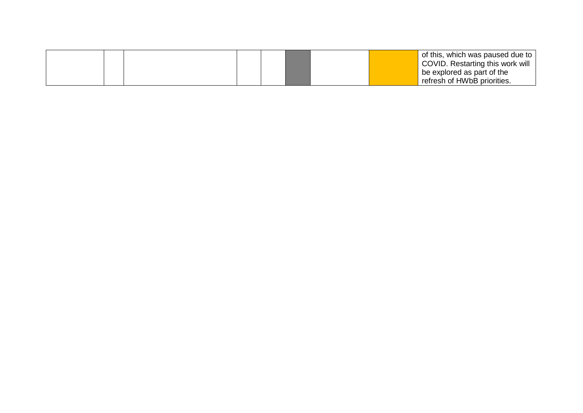|  |  |  |  | of this, which was paused due to ' |
|--|--|--|--|------------------------------------|
|  |  |  |  | COVID. Restarting this work will   |
|  |  |  |  | be explored as part of the         |
|  |  |  |  | refresh of HWbB priorities.        |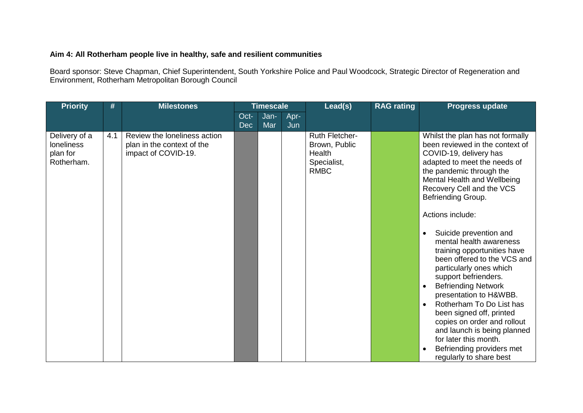#### **Aim 4: All Rotherham people live in healthy, safe and resilient communities**

Board sponsor: Steve Chapman, Chief Superintendent, South Yorkshire Police and Paul Woodcock, Strategic Director of Regeneration and Environment, Rotherham Metropolitan Borough Council

| <b>Priority</b>                                              | #   | <b>Milestones</b>                                                                 |                    | <b>Timescale</b> |             | Lead(s)<br><b>RAG rating</b>                                                          |  | <b>Progress update</b>                                                                                                                                                                                                                                                                                                                                                                                                                                                                                                                                                                                                                                                                                                                      |
|--------------------------------------------------------------|-----|-----------------------------------------------------------------------------------|--------------------|------------------|-------------|---------------------------------------------------------------------------------------|--|---------------------------------------------------------------------------------------------------------------------------------------------------------------------------------------------------------------------------------------------------------------------------------------------------------------------------------------------------------------------------------------------------------------------------------------------------------------------------------------------------------------------------------------------------------------------------------------------------------------------------------------------------------------------------------------------------------------------------------------------|
|                                                              |     |                                                                                   | Oct-<br><b>Dec</b> | Jan-<br>Mar      | Apr-<br>Jun |                                                                                       |  |                                                                                                                                                                                                                                                                                                                                                                                                                                                                                                                                                                                                                                                                                                                                             |
| Delivery of a<br><b>loneliness</b><br>plan for<br>Rotherham. | 4.1 | Review the loneliness action<br>plan in the context of the<br>impact of COVID-19. |                    |                  |             | <b>Ruth Fletcher-</b><br>Brown, Public<br><b>Health</b><br>Specialist,<br><b>RMBC</b> |  | Whilst the plan has not formally<br>been reviewed in the context of<br>COVID-19, delivery has<br>adapted to meet the needs of<br>the pandemic through the<br>Mental Health and Wellbeing<br>Recovery Cell and the VCS<br>Befriending Group.<br>Actions include:<br>Suicide prevention and<br>$\bullet$<br>mental health awareness<br>training opportunities have<br>been offered to the VCS and<br>particularly ones which<br>support befrienders.<br><b>Befriending Network</b><br>$\bullet$<br>presentation to H&WBB.<br>Rotherham To Do List has<br>$\bullet$<br>been signed off, printed<br>copies on order and rollout<br>and launch is being planned<br>for later this month.<br>Befriending providers met<br>regularly to share best |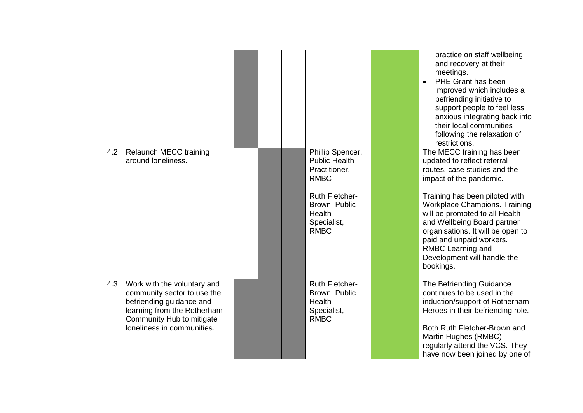|     |                                                                                                                                                                                  |  |                                                                                                                                                            | practice on staff wellbeing<br>and recovery at their<br>meetings.<br>PHE Grant has been<br>$\bullet$<br>improved which includes a<br>befriending initiative to<br>support people to feel less<br>anxious integrating back into<br>their local communities<br>following the relaxation of<br>restrictions.                                                                                  |
|-----|----------------------------------------------------------------------------------------------------------------------------------------------------------------------------------|--|------------------------------------------------------------------------------------------------------------------------------------------------------------|--------------------------------------------------------------------------------------------------------------------------------------------------------------------------------------------------------------------------------------------------------------------------------------------------------------------------------------------------------------------------------------------|
| 4.2 | <b>Relaunch MECC training</b><br>around loneliness.                                                                                                                              |  | Phillip Spencer,<br><b>Public Health</b><br>Practitioner,<br><b>RMBC</b><br><b>Ruth Fletcher-</b><br>Brown, Public<br>Health<br>Specialist,<br><b>RMBC</b> | The MECC training has been<br>updated to reflect referral<br>routes, case studies and the<br>impact of the pandemic.<br>Training has been piloted with<br>Workplace Champions. Training<br>will be promoted to all Health<br>and Wellbeing Board partner<br>organisations. It will be open to<br>paid and unpaid workers.<br>RMBC Learning and<br>Development will handle the<br>bookings. |
| 4.3 | Work with the voluntary and<br>community sector to use the<br>befriending guidance and<br>learning from the Rotherham<br>Community Hub to mitigate<br>loneliness in communities. |  | <b>Ruth Fletcher-</b><br>Brown, Public<br>Health<br>Specialist,<br><b>RMBC</b>                                                                             | The Befriending Guidance<br>continues to be used in the<br>induction/support of Rotherham<br>Heroes in their befriending role.<br>Both Ruth Fletcher-Brown and<br>Martin Hughes (RMBC)<br>regularly attend the VCS. They<br>have now been joined by one of                                                                                                                                 |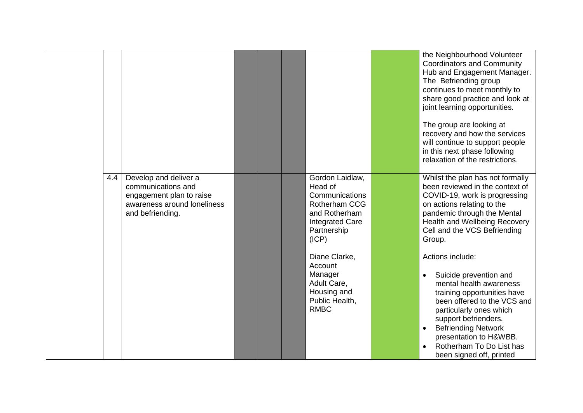|     |                                                                                                                            |  |                                                                                                                                         | the Neighbourhood Volunteer<br><b>Coordinators and Community</b><br>Hub and Engagement Manager.<br>The Befriending group<br>continues to meet monthly to<br>share good practice and look at<br>joint learning opportunities.<br>The group are looking at<br>recovery and how the services<br>will continue to support people<br>in this next phase following<br>relaxation of the restrictions. |
|-----|----------------------------------------------------------------------------------------------------------------------------|--|-----------------------------------------------------------------------------------------------------------------------------------------|-------------------------------------------------------------------------------------------------------------------------------------------------------------------------------------------------------------------------------------------------------------------------------------------------------------------------------------------------------------------------------------------------|
| 4.4 | Develop and deliver a<br>communications and<br>engagement plan to raise<br>awareness around loneliness<br>and befriending. |  | Gordon Laidlaw,<br>Head of<br>Communications<br><b>Rotherham CCG</b><br>and Rotherham<br><b>Integrated Care</b><br>Partnership<br>(ICP) | Whilst the plan has not formally<br>been reviewed in the context of<br>COVID-19, work is progressing<br>on actions relating to the<br>pandemic through the Mental<br>Health and Wellbeing Recovery<br>Cell and the VCS Befriending<br>Group.                                                                                                                                                    |
|     |                                                                                                                            |  | Diane Clarke,<br>Account<br>Manager<br>Adult Care,<br>Housing and<br>Public Health,<br><b>RMBC</b>                                      | Actions include:<br>Suicide prevention and<br>$\bullet$<br>mental health awareness<br>training opportunities have<br>been offered to the VCS and<br>particularly ones which<br>support befrienders.<br><b>Befriending Network</b><br>presentation to H&WBB.<br>Rotherham To Do List has<br>$\bullet$<br>been signed off, printed                                                                |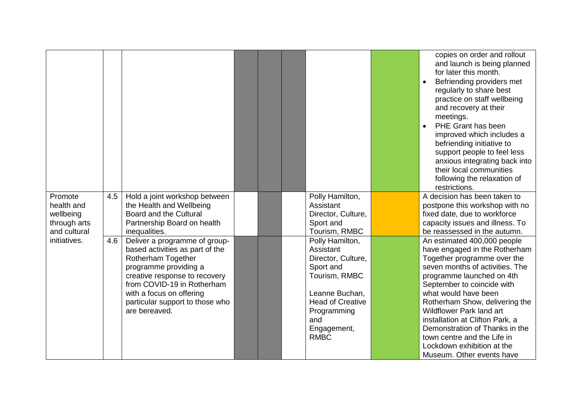|                       |     |                                                           |  |                              | copies on order and rollout<br>and launch is being planned<br>for later this month.<br>Befriending providers met<br>regularly to share best<br>practice on staff wellbeing<br>and recovery at their<br>meetings.<br>PHE Grant has been<br>improved which includes a<br>befriending initiative to<br>support people to feel less<br>anxious integrating back into<br>their local communities<br>following the relaxation of<br>restrictions. |
|-----------------------|-----|-----------------------------------------------------------|--|------------------------------|---------------------------------------------------------------------------------------------------------------------------------------------------------------------------------------------------------------------------------------------------------------------------------------------------------------------------------------------------------------------------------------------------------------------------------------------|
| Promote<br>health and | 4.5 | Hold a joint workshop between<br>the Health and Wellbeing |  | Polly Hamilton,<br>Assistant | A decision has been taken to<br>postpone this workshop with no                                                                                                                                                                                                                                                                                                                                                                              |
| wellbeing             |     | Board and the Cultural                                    |  | Director, Culture,           | fixed date, due to workforce                                                                                                                                                                                                                                                                                                                                                                                                                |
| through arts          |     | Partnership Board on health                               |  | Sport and                    | capacity issues and illness. To                                                                                                                                                                                                                                                                                                                                                                                                             |
| and cultural          |     | inequalities.                                             |  | Tourism, RMBC                | be reassessed in the autumn.                                                                                                                                                                                                                                                                                                                                                                                                                |
| initiatives.          | 4.6 | Deliver a programme of group-                             |  | Polly Hamilton,              | An estimated 400,000 people                                                                                                                                                                                                                                                                                                                                                                                                                 |
|                       |     | based activities as part of the                           |  | Assistant                    | have engaged in the Rotherham                                                                                                                                                                                                                                                                                                                                                                                                               |
|                       |     | Rotherham Together                                        |  | Director, Culture,           | Together programme over the<br>seven months of activities. The                                                                                                                                                                                                                                                                                                                                                                              |
|                       |     | programme providing a<br>creative response to recovery    |  | Sport and<br>Tourism, RMBC   | programme launched on 4th                                                                                                                                                                                                                                                                                                                                                                                                                   |
|                       |     | from COVID-19 in Rotherham                                |  |                              | September to coincide with                                                                                                                                                                                                                                                                                                                                                                                                                  |
|                       |     | with a focus on offering                                  |  | Leanne Buchan,               | what would have been                                                                                                                                                                                                                                                                                                                                                                                                                        |
|                       |     | particular support to those who                           |  | <b>Head of Creative</b>      | Rotherham Show, delivering the                                                                                                                                                                                                                                                                                                                                                                                                              |
|                       |     | are bereaved.                                             |  | Programming                  | <b>Wildflower Park land art</b>                                                                                                                                                                                                                                                                                                                                                                                                             |
|                       |     |                                                           |  | and                          | installation at Clifton Park, a                                                                                                                                                                                                                                                                                                                                                                                                             |
|                       |     |                                                           |  | Engagement,                  | Demonstration of Thanks in the                                                                                                                                                                                                                                                                                                                                                                                                              |
|                       |     |                                                           |  | <b>RMBC</b>                  | town centre and the Life in                                                                                                                                                                                                                                                                                                                                                                                                                 |
|                       |     |                                                           |  |                              | Lockdown exhibition at the                                                                                                                                                                                                                                                                                                                                                                                                                  |
|                       |     |                                                           |  |                              | Museum. Other events have                                                                                                                                                                                                                                                                                                                                                                                                                   |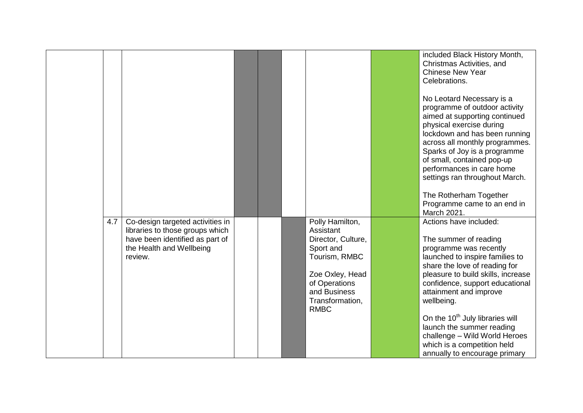|     |                                                                                                                                               |  |                                                                                                                                                                        | included Black History Month,<br>Christmas Activities, and<br><b>Chinese New Year</b><br>Celebrations.<br>No Leotard Necessary is a<br>programme of outdoor activity<br>aimed at supporting continued<br>physical exercise during<br>lockdown and has been running<br>across all monthly programmes.<br>Sparks of Joy is a programme<br>of small, contained pop-up<br>performances in care home<br>settings ran throughout March.<br>The Rotherham Together<br>Programme came to an end in<br>March 2021. |
|-----|-----------------------------------------------------------------------------------------------------------------------------------------------|--|------------------------------------------------------------------------------------------------------------------------------------------------------------------------|-----------------------------------------------------------------------------------------------------------------------------------------------------------------------------------------------------------------------------------------------------------------------------------------------------------------------------------------------------------------------------------------------------------------------------------------------------------------------------------------------------------|
| 4.7 | Co-design targeted activities in<br>libraries to those groups which<br>have been identified as part of<br>the Health and Wellbeing<br>review. |  | Polly Hamilton,<br>Assistant<br>Director, Culture,<br>Sport and<br>Tourism, RMBC<br>Zoe Oxley, Head<br>of Operations<br>and Business<br>Transformation,<br><b>RMBC</b> | Actions have included:<br>The summer of reading<br>programme was recently<br>launched to inspire families to<br>share the love of reading for<br>pleasure to build skills, increase<br>confidence, support educational<br>attainment and improve<br>wellbeing.<br>On the 10 <sup>th</sup> July libraries will<br>launch the summer reading<br>challenge - Wild World Heroes<br>which is a competition held<br>annually to encourage primary                                                               |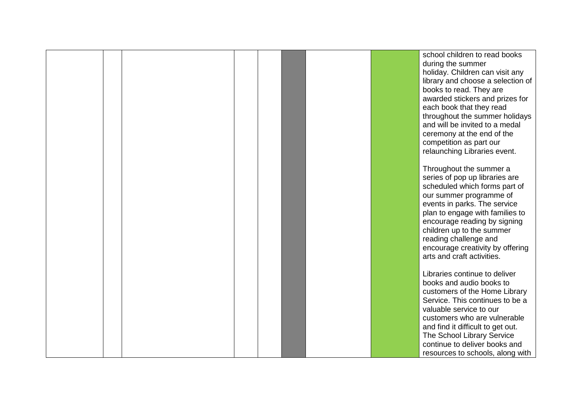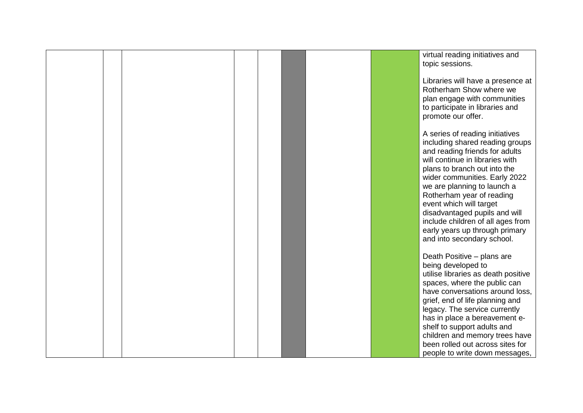|  |  |  |  | virtual reading initiatives and                                                                                                                                                                                                                                                                                                                                                                                                       |
|--|--|--|--|---------------------------------------------------------------------------------------------------------------------------------------------------------------------------------------------------------------------------------------------------------------------------------------------------------------------------------------------------------------------------------------------------------------------------------------|
|  |  |  |  | topic sessions.                                                                                                                                                                                                                                                                                                                                                                                                                       |
|  |  |  |  | Libraries will have a presence at<br>Rotherham Show where we<br>plan engage with communities<br>to participate in libraries and<br>promote our offer.                                                                                                                                                                                                                                                                                 |
|  |  |  |  | A series of reading initiatives<br>including shared reading groups<br>and reading friends for adults<br>will continue in libraries with<br>plans to branch out into the<br>wider communities. Early 2022<br>we are planning to launch a<br>Rotherham year of reading<br>event which will target<br>disadvantaged pupils and will<br>include children of all ages from<br>early years up through primary<br>and into secondary school. |
|  |  |  |  | Death Positive - plans are<br>being developed to<br>utilise libraries as death positive<br>spaces, where the public can<br>have conversations around loss,<br>grief, end of life planning and<br>legacy. The service currently<br>has in place a bereavement e-<br>shelf to support adults and<br>children and memory trees have<br>been rolled out across sites for<br>people to write down messages,                                |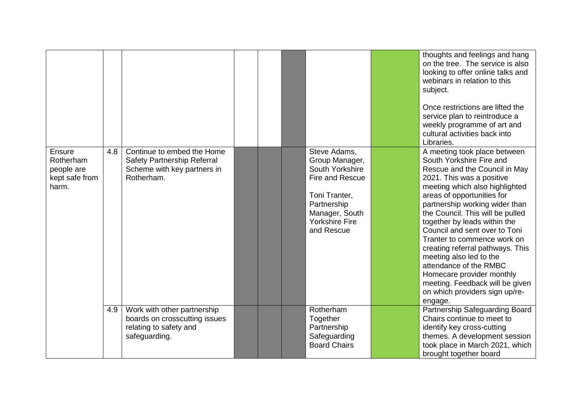|                                                              |     |                                                                                                         |  |                                                                                                                                                               | thoughts and feelings and hang<br>on the tree. The service is also<br>looking to offer online talks and<br>webinars in relation to this<br>subject.<br>Once restrictions are lifted the<br>service plan to reintroduce a<br>weekly programme of art and<br>cultural activities back into<br>Libraries.                                                                                                                                                                                                                                                             |
|--------------------------------------------------------------|-----|---------------------------------------------------------------------------------------------------------|--|---------------------------------------------------------------------------------------------------------------------------------------------------------------|--------------------------------------------------------------------------------------------------------------------------------------------------------------------------------------------------------------------------------------------------------------------------------------------------------------------------------------------------------------------------------------------------------------------------------------------------------------------------------------------------------------------------------------------------------------------|
| Ensure<br>Rotherham<br>people are<br>kept safe from<br>harm. | 4.8 | Continue to embed the Home<br>Safety Partnership Referral<br>Scheme with key partners in<br>Rotherham.  |  | Steve Adams,<br>Group Manager,<br>South Yorkshire<br>Fire and Rescue<br>Toni Tranter,<br>Partnership<br>Manager, South<br><b>Yorkshire Fire</b><br>and Rescue | A meeting took place between<br>South Yorkshire Fire and<br>Rescue and the Council in May<br>2021. This was a positive<br>meeting which also highlighted<br>areas of opportunities for<br>partnership working wider than<br>the Council. This will be pulled<br>together by leads within the<br>Council and sent over to Toni<br>Tranter to commence work on<br>creating referral pathways. This<br>meeting also led to the<br>attendance of the RMBC<br>Homecare provider monthly<br>meeting. Feedback will be given<br>on which providers sign up/re-<br>engage. |
|                                                              | 4.9 | Work with other partnership<br>boards on crosscutting issues<br>relating to safety and<br>safeguarding. |  | Rotherham<br>Together<br>Partnership<br>Safeguarding<br><b>Board Chairs</b>                                                                                   | Partnership Safeguarding Board<br>Chairs continue to meet to<br>identify key cross-cutting<br>themes. A development session<br>took place in March 2021, which<br>brought together board                                                                                                                                                                                                                                                                                                                                                                           |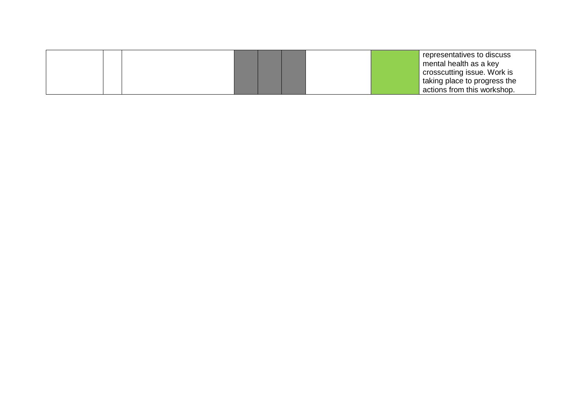|  |  |  |  | representatives to discuss   |
|--|--|--|--|------------------------------|
|  |  |  |  | mental health as a key       |
|  |  |  |  | crosscutting issue. Work is  |
|  |  |  |  | taking place to progress the |
|  |  |  |  | actions from this workshop.  |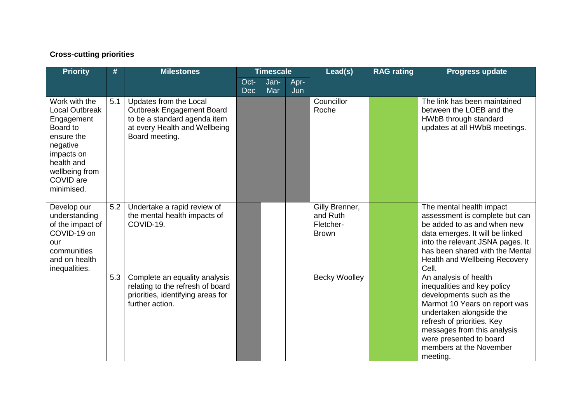## **Cross-cutting priorities**

| <b>Priority</b>                                                                                                                                              | #   | <b>Milestones</b>                                                                                                                      | <b>Timescale</b>   |             | Lead(s)     | <b>RAG rating</b>                                       | <b>Progress update</b> |                                                                                                                                                                                                                                                                              |
|--------------------------------------------------------------------------------------------------------------------------------------------------------------|-----|----------------------------------------------------------------------------------------------------------------------------------------|--------------------|-------------|-------------|---------------------------------------------------------|------------------------|------------------------------------------------------------------------------------------------------------------------------------------------------------------------------------------------------------------------------------------------------------------------------|
|                                                                                                                                                              |     |                                                                                                                                        | Oct-<br><b>Dec</b> | Jan-<br>Mar | Apr-<br>Jun |                                                         |                        |                                                                                                                                                                                                                                                                              |
| Work with the<br>Local Outbreak<br>Engagement<br>Board to<br>ensure the<br>negative<br>impacts on<br>health and<br>wellbeing from<br>COVID are<br>minimised. | 5.1 | Updates from the Local<br>Outbreak Engagement Board<br>to be a standard agenda item<br>at every Health and Wellbeing<br>Board meeting. |                    |             |             | Councillor<br>Roche                                     |                        | The link has been maintained<br>between the LOEB and the<br>HWbB through standard<br>updates at all HWbB meetings.                                                                                                                                                           |
| Develop our<br>understanding<br>of the impact of<br>COVID-19 on<br>our<br>communities<br>and on health<br>inequalities.                                      | 5.2 | Undertake a rapid review of<br>the mental health impacts of<br>COVID-19.                                                               |                    |             |             | Gilly Brenner,<br>and Ruth<br>Fletcher-<br><b>Brown</b> |                        | The mental health impact<br>assessment is complete but can<br>be added to as and when new<br>data emerges. It will be linked<br>into the relevant JSNA pages. It<br>has been shared with the Mental<br>Health and Wellbeing Recovery<br>Cell.                                |
|                                                                                                                                                              | 5.3 | Complete an equality analysis<br>relating to the refresh of board<br>priorities, identifying areas for<br>further action.              |                    |             |             | <b>Becky Woolley</b>                                    |                        | An analysis of health<br>inequalities and key policy<br>developments such as the<br>Marmot 10 Years on report was<br>undertaken alongside the<br>refresh of priorities. Key<br>messages from this analysis<br>were presented to board<br>members at the November<br>meeting. |